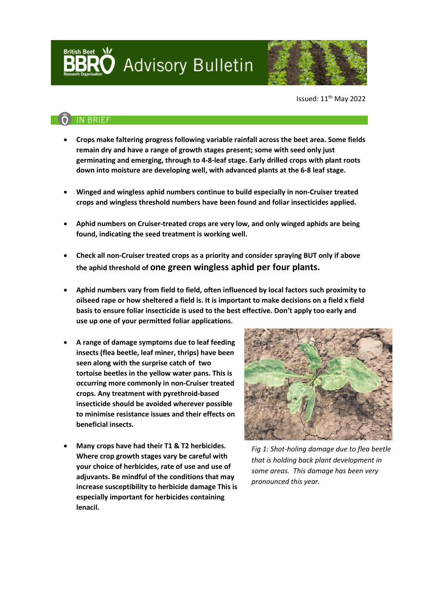Advisory Bulletin



Issued: 11th May 2022

## **IN BRIEF**

**British Beet** 

- **Crops make faltering progress following variable rainfall across the beet area. Some fields remain dry and have a range of growth stages present; some with seed only just germinating and emerging, through to 4-8-leaf stage. Early drilled crops with plant roots down into moisture are developing well, with advanced plants at the 6-8 leaf stage.**
- **Winged and wingless aphid numbers continue to build especially in non-Cruiser treated crops and wingless threshold numbers have been found and foliar insecticides applied.**
- **Aphid numbers on Cruiser-treated crops are very low, and only winged aphids are being found, indicating the seed treatment is working well.**
- **Check all non-Cruiser treated crops as a priority and consider spraying BUT only if above the aphid threshold of one green wingless aphid per four plants.**
- **Aphid numbers vary from field to field, often influenced by local factors such proximity to oilseed rape or how sheltered a field is. It is important to make decisions on a field x field basis to ensure foliar insecticide is used to the best effective. Don't apply too early and use up one of your permitted foliar applications.**
- **A range of damage symptoms due to leaf feeding insects (flea beetle, leaf miner, thrips) have been seen along with the surprise catch of two tortoise beetles in the yellow water pans. This is occurring more commonly in non-Cruiser treated crops. Any treatment with pyrethroid-based insecticide should be avoided wherever possible to minimise resistance issues and their effects on beneficial insects.**
- **Many crops have had their T1 & T2 herbicides. Where crop growth stages vary be careful with your choice of herbicides, rate of use and use of adjuvants. Be mindful of the conditions that may increase susceptibility to herbicide damage This is especially important for herbicides containing lenacil.**



*Fig 1: Shot-holing damage due to flea beetle that is holding back plant development in some areas. This damage has been very pronounced this year.*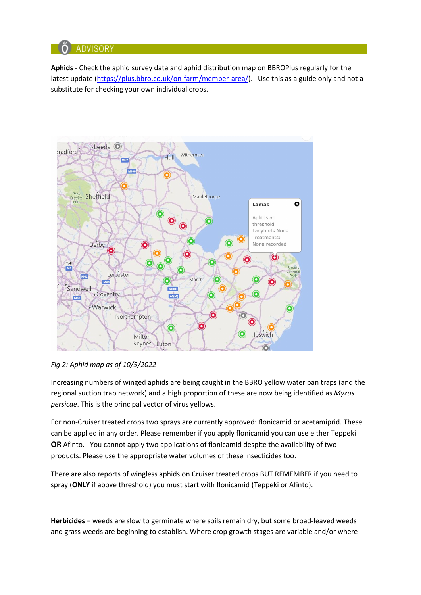

**Aphids** - Check the aphid survey data and aphid distribution map on BBROPlus regularly for the latest update [\(https://plus.bbro.co.uk/on-farm/member-area/\)](https://plus.bbro.co.uk/on-farm/member-area/). Use this as a guide only and not a substitute for checking your own individual crops.



*Fig 2: Aphid map as of 10/5/2022*

Increasing numbers of winged aphids are being caught in the BBRO yellow water pan traps (and the regional suction trap network) and a high proportion of these are now being identified as *Myzus persicae*. This is the principal vector of virus yellows.

For non-Cruiser treated crops two sprays are currently approved: flonicamid or acetamiprid. These can be applied in any order. Please remember if you apply flonicamid you can use either Teppeki **OR** Afinto. You cannot apply two applications of flonicamid despite the availability of two products. Please use the appropriate water volumes of these insecticides too.

There are also reports of wingless aphids on Cruiser treated crops BUT REMEMBER if you need to spray (**ONLY** if above threshold) you must start with flonicamid (Teppeki or Afinto).

**Herbicides** – weeds are slow to germinate where soils remain dry, but some broad-leaved weeds and grass weeds are beginning to establish. Where crop growth stages are variable and/or where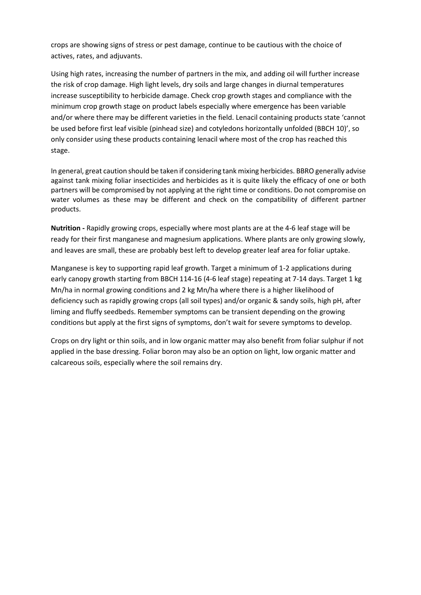crops are showing signs of stress or pest damage, continue to be cautious with the choice of actives, rates, and adjuvants.

Using high rates, increasing the number of partners in the mix, and adding oil will further increase the risk of crop damage. High light levels, dry soils and large changes in diurnal temperatures increase susceptibility to herbicide damage. Check crop growth stages and compliance with the minimum crop growth stage on product labels especially where emergence has been variable and/or where there may be different varieties in the field. Lenacil containing products state 'cannot be used before first leaf visible (pinhead size) and cotyledons horizontally unfolded (BBCH 10)', so only consider using these products containing lenacil where most of the crop has reached this stage.

In general, great caution should be taken if considering tank mixing herbicides. BBRO generally advise against tank mixing foliar insecticides and herbicides as it is quite likely the efficacy of one or both partners will be compromised by not applying at the right time or conditions. Do not compromise on water volumes as these may be different and check on the compatibility of different partner products.

**Nutrition -** Rapidly growing crops, especially where most plants are at the 4-6 leaf stage will be ready for their first manganese and magnesium applications. Where plants are only growing slowly, and leaves are small, these are probably best left to develop greater leaf area for foliar uptake.

Manganese is key to supporting rapid leaf growth. Target a minimum of 1-2 applications during early canopy growth starting from BBCH 114-16 (4-6 leaf stage) repeating at 7-14 days. Target 1 kg Mn/ha in normal growing conditions and 2 kg Mn/ha where there is a higher likelihood of deficiency such as rapidly growing crops (all soil types) and/or organic & sandy soils, high pH, after liming and fluffy seedbeds. Remember symptoms can be transient depending on the growing conditions but apply at the first signs of symptoms, don't wait for severe symptoms to develop.

Crops on dry light or thin soils, and in low organic matter may also benefit from foliar sulphur if not applied in the base dressing. Foliar boron may also be an option on light, low organic matter and calcareous soils, especially where the soil remains dry.